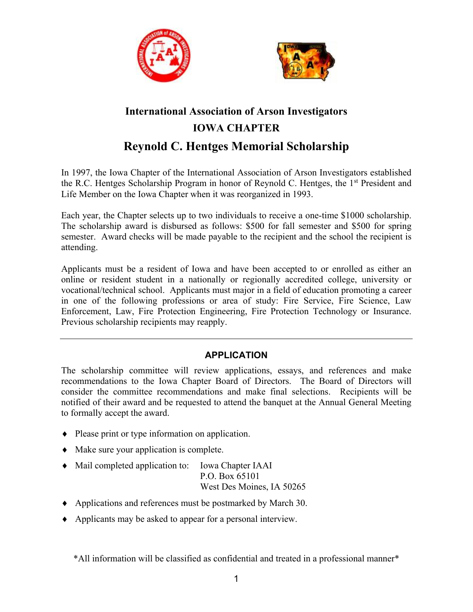



# **International Association of Arson Investigators IOWA CHAPTER Reynold C. Hentges Memorial Scholarship**

In 1997, the Iowa Chapter of the International Association of Arson Investigators established the R.C. Hentges Scholarship Program in honor of Reynold C. Hentges, the 1<sup>st</sup> President and Life Member on the Iowa Chapter when it was reorganized in 1993.

Each year, the Chapter selects up to two individuals to receive a one-time \$1000 scholarship. The scholarship award is disbursed as follows: \$500 for fall semester and \$500 for spring semester. Award checks will be made payable to the recipient and the school the recipient is attending.

Applicants must be a resident of Iowa and have been accepted to or enrolled as either an online or resident student in a nationally or regionally accredited college, university or vocational/technical school. Applicants must major in a field of education promoting a career in one of the following professions or area of study: Fire Service, Fire Science, Law Enforcement, Law, Fire Protection Engineering, Fire Protection Technology or Insurance. Previous scholarship recipients may reapply.

# **APPLICATION**

The scholarship committee will review applications, essays, and references and make recommendations to the Iowa Chapter Board of Directors. The Board of Directors will consider the committee recommendations and make final selections. Recipients will be notified of their award and be requested to attend the banquet at the Annual General Meeting to formally accept the award.

- Please print or type information on application.
- Make sure your application is complete.
- Mail completed application to: Iowa Chapter IAAI P.O. Box 65101 West Des Moines, IA 50265
- Applications and references must be postmarked by March 30.
- Applicants may be asked to appear for a personal interview.

\*All information will be classified as confidential and treated in a professional manner\*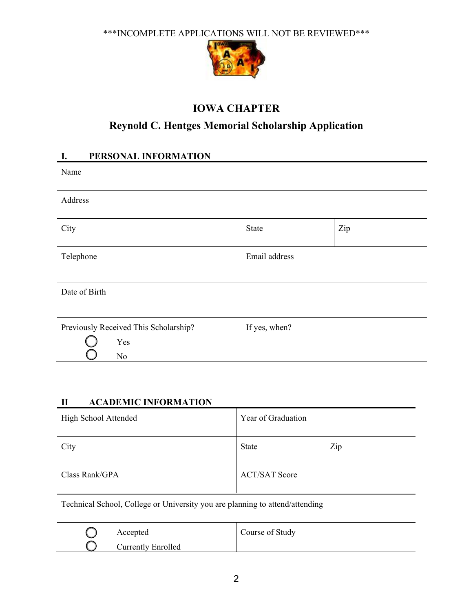\*\*\*INCOMPLETE APPLICATIONS WILL NOT BE REVIEWED\*\*\*



# **IOWA CHAPTER**

# **Reynold C. Hentges Memorial Scholarship Application**

# **I. PERSONAL INFORMATION**

Name

Address

| City                                                           | <b>State</b>  | Zip |
|----------------------------------------------------------------|---------------|-----|
| Telephone                                                      | Email address |     |
| Date of Birth                                                  |               |     |
| Previously Received This Scholarship?<br>Yes<br>N <sub>o</sub> | If yes, when? |     |

## **II ACADEMIC INFORMATION**

| High School Attended | Year of Graduation   |     |  |
|----------------------|----------------------|-----|--|
| City                 | State                | Zip |  |
| Class Rank/GPA       | <b>ACT/SAT Score</b> |     |  |

Technical School, College or University you are planning to attend/attending

| Accepted                  | Course of Study |
|---------------------------|-----------------|
| <b>Currently Enrolled</b> |                 |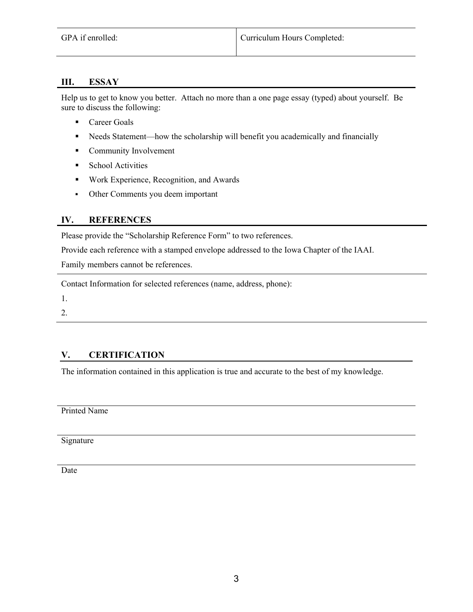#### **III. ESSAY**

Help us to get to know you better. Attach no more than a one page essay (typed) about yourself. Be sure to discuss the following:

- Career Goals
- Needs Statement—how the scholarship will benefit you academically and financially
- **Community Involvement**
- **School Activities**
- Work Experience, Recognition, and Awards
- Other Comments you deem important

#### **IV. REFERENCES**

Please provide the "Scholarship Reference Form" to two references.

Provide each reference with a stamped envelope addressed to the Iowa Chapter of the IAAI.

Family members cannot be references.

Contact Information for selected references (name, address, phone):

1.

2.

### **V. CERTIFICATION**

The information contained in this application is true and accurate to the best of my knowledge.

Printed Name

Signature

Date